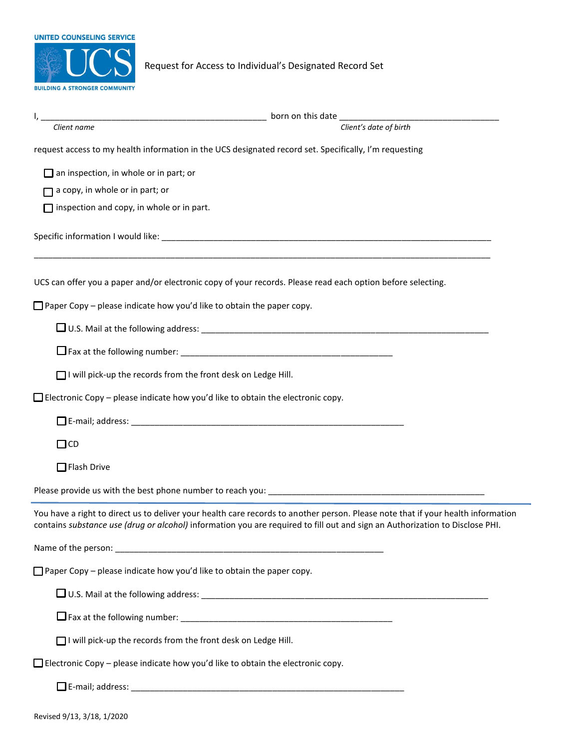

Request for Access to Individual's Designated Record Set

| Client name                                                                                                                                                                                                                                                      | Client's date of birth |
|------------------------------------------------------------------------------------------------------------------------------------------------------------------------------------------------------------------------------------------------------------------|------------------------|
| request access to my health information in the UCS designated record set. Specifically, I'm requesting                                                                                                                                                           |                        |
| $\Box$ an inspection, in whole or in part; or                                                                                                                                                                                                                    |                        |
| $\Box$ a copy, in whole or in part; or                                                                                                                                                                                                                           |                        |
| $\Box$ inspection and copy, in whole or in part.                                                                                                                                                                                                                 |                        |
|                                                                                                                                                                                                                                                                  |                        |
| UCS can offer you a paper and/or electronic copy of your records. Please read each option before selecting.                                                                                                                                                      |                        |
| $\Box$ Paper Copy – please indicate how you'd like to obtain the paper copy.                                                                                                                                                                                     |                        |
|                                                                                                                                                                                                                                                                  |                        |
|                                                                                                                                                                                                                                                                  |                        |
| □ I will pick-up the records from the front desk on Ledge Hill.                                                                                                                                                                                                  |                        |
| $\Box$ Electronic Copy – please indicate how you'd like to obtain the electronic copy.                                                                                                                                                                           |                        |
|                                                                                                                                                                                                                                                                  |                        |
| $\Box$ CD                                                                                                                                                                                                                                                        |                        |
| $\Box$ Flash Drive                                                                                                                                                                                                                                               |                        |
|                                                                                                                                                                                                                                                                  |                        |
| You have a right to direct us to deliver your health care records to another person. Please note that if your health information<br>contains substance use (drug or alcohol) information you are required to fill out and sign an Authorization to Disclose PHI. |                        |
|                                                                                                                                                                                                                                                                  |                        |
| $\Box$ Paper Copy – please indicate how you'd like to obtain the paper copy.                                                                                                                                                                                     |                        |
|                                                                                                                                                                                                                                                                  |                        |
|                                                                                                                                                                                                                                                                  |                        |
| □ I will pick-up the records from the front desk on Ledge Hill.                                                                                                                                                                                                  |                        |
| $\Box$ Electronic Copy – please indicate how you'd like to obtain the electronic copy.                                                                                                                                                                           |                        |
|                                                                                                                                                                                                                                                                  |                        |